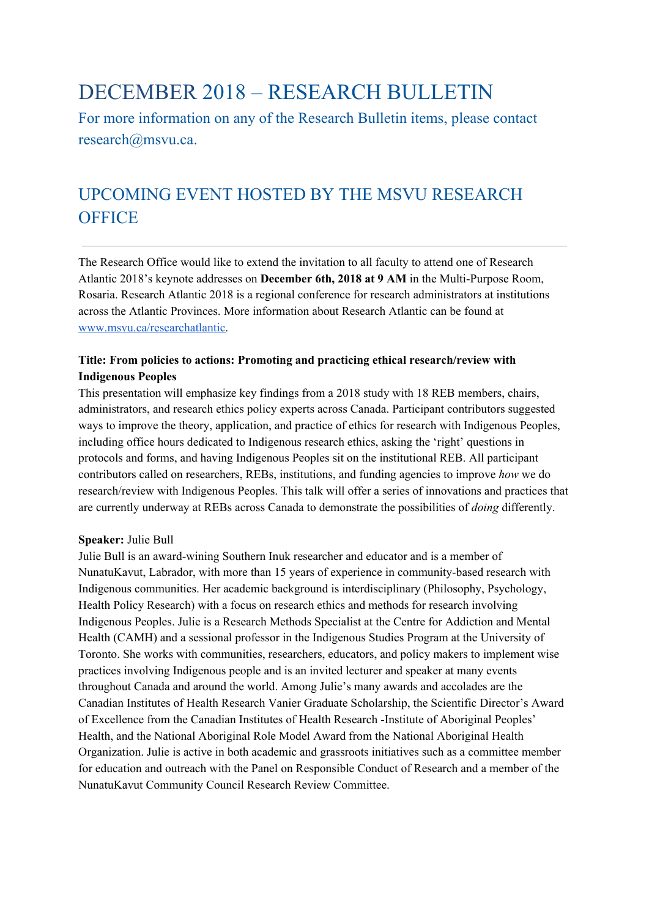# DECEMBER 2018 – RESEARCH BULLETIN

For more information on any of the Research Bulletin items, please contact research@msvu.ca.

## UPCOMING EVENT HOSTED BY THE MSVU RESEARCH **OFFICE**

The Research Office would like to extend the invitation to all faculty to attend one of Research Atlantic 2018's keynote addresses on **December 6th, 2018 at 9 AM** in the Multi-Purpose Room, Rosaria. Research Atlantic 2018 is a regional conference for research administrators at institutions across the Atlantic Provinces. More information about Research Atlantic can be found at [www.msvu.ca/researchatlantic](http://www.msvu.ca/researchatlantic).

#### **Title: From policies to actions: Promoting and practicing ethical research/review with Indigenous Peoples**

This presentation will emphasize key findings from a 2018 study with 18 REB members, chairs, administrators, and research ethics policy experts across Canada. Participant contributors suggested ways to improve the theory, application, and practice of ethics for research with Indigenous Peoples, including office hours dedicated to Indigenous research ethics, asking the 'right' questions in protocols and forms, and having Indigenous Peoples sit on the institutional REB. All participant contributors called on researchers, REBs, institutions, and funding agencies to improve *how* we do research/review with Indigenous Peoples. This talk will offer a series of innovations and practices that are currently underway at REBs across Canada to demonstrate the possibilities of *doing* differently.

#### **Speaker:** Julie Bull

Julie Bull is an award-wining Southern Inuk researcher and educator and is a member of NunatuKavut, Labrador, with more than 15 years of experience in community-based research with Indigenous communities. Her academic background is interdisciplinary (Philosophy, Psychology, Health Policy Research) with a focus on research ethics and methods for research involving Indigenous Peoples. Julie is a Research Methods Specialist at the Centre for Addiction and Mental Health (CAMH) and a sessional professor in the Indigenous Studies Program at the University of Toronto. She works with communities, researchers, educators, and policy makers to implement wise practices involving Indigenous people and is an invited lecturer and speaker at many events throughout Canada and around the world. Among Julie's many awards and accolades are the Canadian Institutes of Health Research Vanier Graduate Scholarship, the Scientific Director's Award of Excellence from the Canadian Institutes of Health Research -Institute of Aboriginal Peoples' Health, and the National Aboriginal Role Model Award from the National Aboriginal Health Organization. Julie is active in both academic and grassroots initiatives such as a committee member for education and outreach with the Panel on Responsible Conduct of Research and a member of the NunatuKavut Community Council Research Review Committee.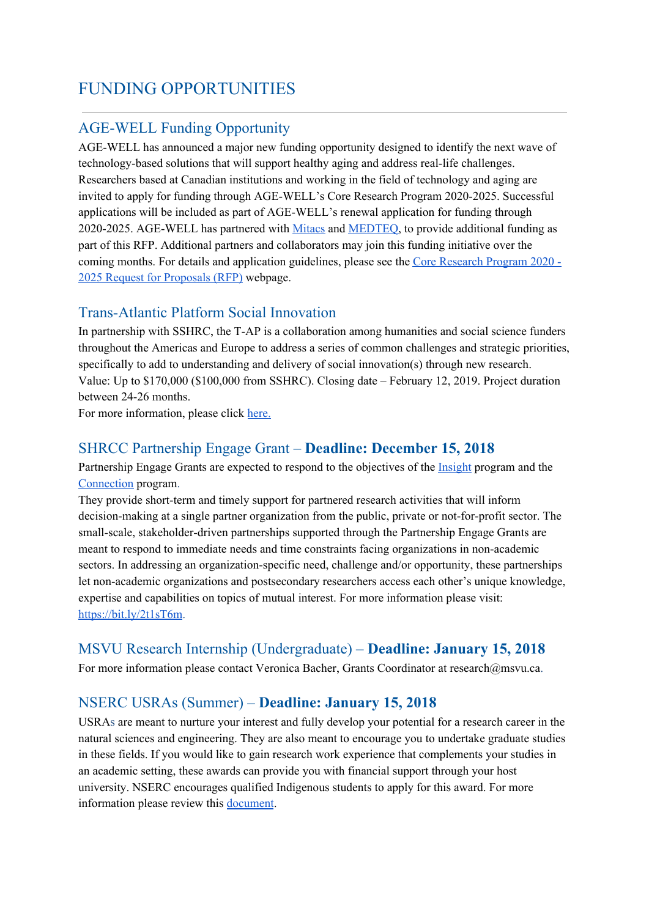### FUNDING OPPORTUNITIES

### AGE-WELL Funding Opportunity

AGE-WELL has announced a major new funding opportunity designed to identify the next wave of technology-based solutions that will support healthy aging and address real-life challenges. Researchers based at Canadian institutions and working in the field of technology and aging are invited to apply for funding through AGE-WELL's Core Research Program 2020-2025. Successful applications will be included as part of AGE-WELL's renewal application for funding through 2020-2025. AGE-WELL has partnered with [Mitacs](https://agewell-nce.us5.list-manage.com/track/click?u=2745893251b80a4ebcfc1808d&id=0ce729d4e7&e=8c1dfda719) and [MEDTEQ,](https://agewell-nce.us5.list-manage.com/track/click?u=2745893251b80a4ebcfc1808d&id=2164e03d14&e=8c1dfda719) to provide additional funding as part of this RFP. Additional partners and collaborators may join this funding initiative over the coming months. For details and application guidelines, please see the Core [Research](https://agewell-nce.us5.list-manage.com/track/click?u=2745893251b80a4ebcfc1808d&id=6c8fa916cb&e=8c1dfda719) Program 2020 - 2025 Request for [Proposals](https://agewell-nce.us5.list-manage.com/track/click?u=2745893251b80a4ebcfc1808d&id=6c8fa916cb&e=8c1dfda719) (RFP) webpage.

#### Trans-Atlantic Platform Social Innovation

In partnership with SSHRC, the T-AP is a collaboration among humanities and social science funders throughout the Americas and Europe to address a series of common challenges and strategic priorities, specifically to add to understanding and delivery of social innovation(s) through new research. Value: Up to \$170,000 (\$100,000 from SSHRC). Closing date – February 12, 2019. Project duration between 24-26 months.

For more information, please clic[k](https://www.transatlanticplatform.com/) [here.](https://www.transatlanticplatform.com/)

#### SHRCC Partnership Engage Grant – **Deadline: December 15, 2018**

Partnership Engage Grants are expected to respond to the objectives of the [Insight](http://www.sshrc-crsh.gc.ca/funding-financement/umbrella_programs-programme_cadre/insight-savoir-eng.aspx) program and the [Connection](http://www.sshrc-crsh.gc.ca/funding-financement/umbrella_programs-programme_cadre/connection-connexion-eng.aspx) program.

They provide short-term and timely support for partnered research activities that will inform decision-making at a single partner organization from the public, private or not-for-profit sector. The small-scale, stakeholder-driven partnerships supported through the Partnership Engage Grants are meant to respond to immediate needs and time constraints facing organizations in non-academic sectors. In addressing an organization-specific need, challenge and/or opportunity, these partnerships let non-academic organizations and postsecondary researchers access each other's unique knowledge, expertise and capabilities on topics of mutual interest. For more information please visit[:](https://bit.ly/2t1sT6m) <https://bit.ly/2t1sT6m>.

#### MSVU Research Internship (Undergraduate) – **Deadline: January 15, 2018**

For more information please contact Veronica Bacher, Grants Coordinator at research@msvu.ca.

#### NSERC USRAs (Summer) – **Deadline: January 15, 2018**

USRAs are meant to nurture your interest and fully develop your potential for a research career in the natural sciences and engineering. They are also meant to encourage you to undertake graduate studies in these fields. If you would like to gain research work experience that complements your studies in an academic setting, these awards can provide you with financial support through your host university. NSERC encourages qualified Indigenous students to apply for this award. For more information please review this [document](https://www.msvu.ca/site/media/msvu/CRP.SOP.011%20NSERC%20USRA.pdf).